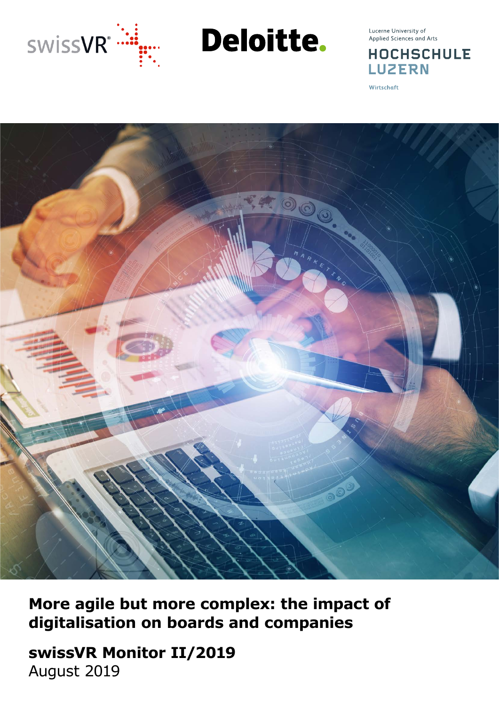

**Deloitte.** 

Lucerne University of Applied Sciences and Arts

**HOCHSCHULE LUZERN** 

Wirtschaft



**More agile but more complex: the impact of digitalisation on boards and companies**

**swissVR Monitor II/2019** August 2019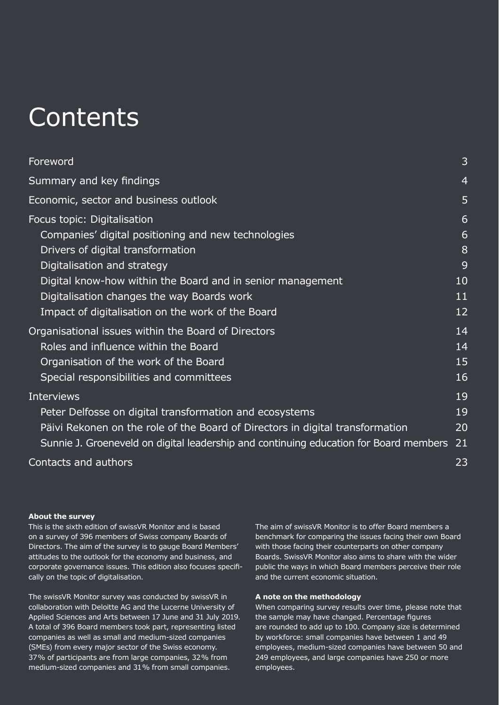## **Contents**

| Foreword                                                                                                                                                                                                                                                                                                                | 3                                  |
|-------------------------------------------------------------------------------------------------------------------------------------------------------------------------------------------------------------------------------------------------------------------------------------------------------------------------|------------------------------------|
| Summary and key findings                                                                                                                                                                                                                                                                                                | $\overline{4}$                     |
| Economic, sector and business outlook                                                                                                                                                                                                                                                                                   | 5                                  |
| Focus topic: Digitalisation<br>Companies' digital positioning and new technologies<br>Drivers of digital transformation<br>Digitalisation and strategy<br>Digital know-how within the Board and in senior management<br>Digitalisation changes the way Boards work<br>Impact of digitalisation on the work of the Board | 6<br>6<br>8<br>9<br>10<br>11<br>12 |
| Organisational issues within the Board of Directors<br>Roles and influence within the Board<br>Organisation of the work of the Board<br>Special responsibilities and committees                                                                                                                                         | 14<br>14<br>15<br>16               |
| <b>Interviews</b><br>Peter Delfosse on digital transformation and ecosystems<br>Päivi Rekonen on the role of the Board of Directors in digital transformation<br>Sunnie J. Groeneveld on digital leadership and continuing education for Board members                                                                  | 19<br>19<br>20<br>21               |
| Contacts and authors                                                                                                                                                                                                                                                                                                    | 23                                 |

#### **About the survey**

This is the sixth edition of swissVR Monitor and is based on a survey of 396 members of Swiss company Boards of Directors. The aim of the survey is to gauge Board Members' attitudes to the outlook for the economy and business, and corporate governance issues. This edition also focuses specifically on the topic of digitalisation.

The swissVR Monitor survey was conducted by swissVR in collaboration with Deloitte AG and the Lucerne University of Applied Sciences and Arts between 17 June and 31 July 2019. A total of 396 Board members took part, representing listed companies as well as small and medium-sized companies (SMEs) from every major sector of the Swiss economy. 37% of participants are from large companies, 32% from medium-sized companies and 31% from small companies.

The aim of swissVR Monitor is to offer Board members a benchmark for comparing the issues facing their own Board with those facing their counterparts on other company Boards. SwissVR Monitor also aims to share with the wider public the ways in which Board members perceive their role and the current economic situation.

#### **A note on the methodology**

When comparing survey results over time, please note that the sample may have changed. Percentage figures are rounded to add up to 100. Company size is determined by workforce: small companies have between 1 and 49 employees, medium-sized companies have between 50 and 249 employees, and large companies have 250 or more employees.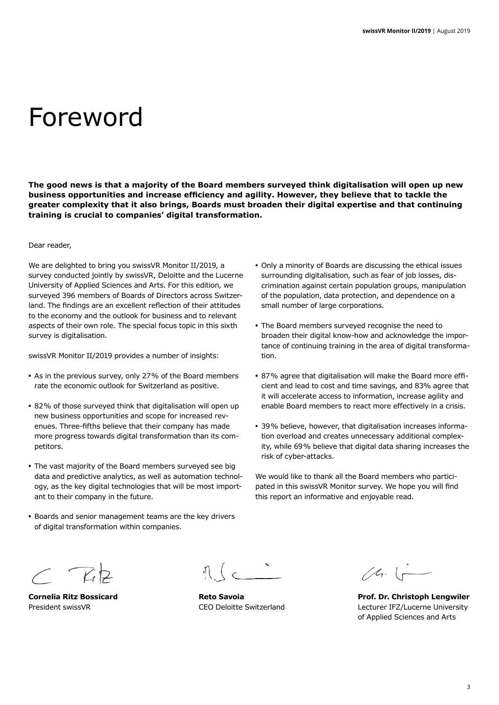## Foreword

**The good news is that a majority of the Board members surveyed think digitalisation will open up new business opportunities and increase efficiency and agility. However, they believe that to tackle the greater complexity that it also brings, Boards must broaden their digital expertise and that continuing training is crucial to companies' digital transformation.**

#### Dear reader,

We are delighted to bring you swissVR Monitor II/2019, a survey conducted jointly by swissVR, Deloitte and the Lucerne University of Applied Sciences and Arts. For this edition, we surveyed 396 members of Boards of Directors across Switzerland. The findings are an excellent reflection of their attitudes to the economy and the outlook for business and to relevant aspects of their own role. The special focus topic in this sixth survey is digitalisation.

swissVR Monitor II/2019 provides a number of insights:

- **•** As in the previous survey, only 27% of the Board members rate the economic outlook for Switzerland as positive.
- **•** 82% of those surveyed think that digitalisation will open up new business opportunities and scope for increased revenues. Three-fifths believe that their company has made more progress towards digital transformation than its competitors.
- **•** The vast majority of the Board members surveyed see big data and predictive analytics, as well as automation technology, as the key digital technologies that will be most important to their company in the future.
- **•** Boards and senior management teams are the key drivers of digital transformation within companies.
- **•** Only a minority of Boards are discussing the ethical issues surrounding digitalisation, such as fear of job losses, discrimination against certain population groups, manipulation of the population, data protection, and dependence on a small number of large corporations.
- **•** The Board members surveyed recognise the need to broaden their digital know-how and acknowledge the importance of continuing training in the area of digital transformation.
- **•** 87% agree that digitalisation will make the Board more efficient and lead to cost and time savings, and 83% agree that it will accelerate access to information, increase agility and enable Board members to react more effectively in a crisis.
- **•** 39% believe, however, that digitalisation increases information overload and creates unnecessary additional complexity, while 69% believe that digital data sharing increases the risk of cyber-attacks.

We would like to thank all the Board members who participated in this swissVR Monitor survey. We hope you will find this report an informative and enjoyable read.

 $\subset$   $712$ 

 $\sim$ 

 $(4.1 -$ 

**Cornelia Ritz Bossicard Reto Savoia Prof. Dr. Christoph Lengwiler** President swissVR CEO Deloitte Switzerland Lecturer IFZ/Lucerne University of Applied Sciences and Arts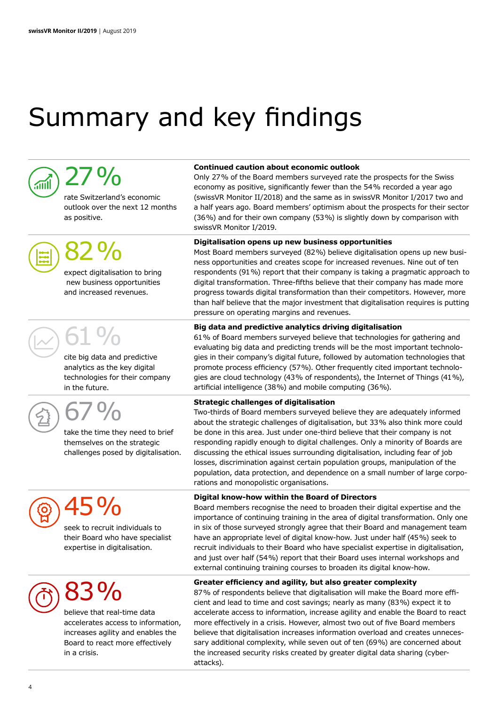# Summary and key findings



## $27%$

rate Switzerland's economic outlook over the next 12 months as positive.



82%

expect digitalisation to bring new business opportunities and increased revenues.

## 61%

cite big data and predictive analytics as the key digital technologies for their company in the future.



67%

take the time they need to brief themselves on the strategic challenges posed by digitalisation.

# 45%

seek to recruit individuals to their Board who have specialist expertise in digitalisation.

## 83%

believe that real-time data accelerates access to information, increases agility and enables the Board to react more effectively in a crisis.

#### **Continued caution about economic outlook**

Only 27% of the Board members surveyed rate the prospects for the Swiss economy as positive, significantly fewer than the 54% recorded a year ago (swissVR Monitor II/2018) and the same as in swissVR Monitor I/2017 two and a half years ago. Board members' optimism about the prospects for their sector (36%) and for their own company (53%) is slightly down by comparison with swissVR Monitor I/2019.

#### **Digitalisation opens up new business opportunities**

Most Board members surveyed (82%) believe digitalisation opens up new business opportunities and creates scope for increased revenues. Nine out of ten respondents (91%) report that their company is taking a pragmatic approach to digital transformation. Three-fifths believe that their company has made more progress towards digital transformation than their competitors. However, more than half believe that the major investment that digitalisation requires is putting pressure on operating margins and revenues.

#### **Big data and predictive analytics driving digitalisation**

61% of Board members surveyed believe that technologies for gathering and evaluating big data and predicting trends will be the most important technologies in their company's digital future, followed by automation technologies that promote process efficiency (57%). Other frequently cited important technologies are cloud technology (43% of respondents), the Internet of Things (41%), artificial intelligence (38%) and mobile computing (36%).

#### **Strategic challenges of digitalisation**

Two-thirds of Board members surveyed believe they are adequately informed about the strategic challenges of digitalisation, but 33% also think more could be done in this area. Just under one-third believe that their company is not responding rapidly enough to digital challenges. Only a minority of Boards are discussing the ethical issues surrounding digitalisation, including fear of job losses, discrimination against certain population groups, manipulation of the population, data protection, and dependence on a small number of large corporations and monopolistic organisations.

#### **Digital know-how within the Board of Directors**

Board members recognise the need to broaden their digital expertise and the importance of continuing training in the area of digital transformation. Only one in six of those surveyed strongly agree that their Board and management team have an appropriate level of digital know-how. Just under half (45%) seek to recruit individuals to their Board who have specialist expertise in digitalisation, and just over half (54%) report that their Board uses internal workshops and external continuing training courses to broaden its digital know-how.

#### **Greater efficiency and agility, but also greater complexity**

87% of respondents believe that digitalisation will make the Board more efficient and lead to time and cost savings; nearly as many (83%) expect it to accelerate access to information, increase agility and enable the Board to react more effectively in a crisis. However, almost two out of five Board members believe that digitalisation increases information overload and creates unnecessary additional complexity, while seven out of ten (69%) are concerned about the increased security risks created by greater digital data sharing (cyberattacks).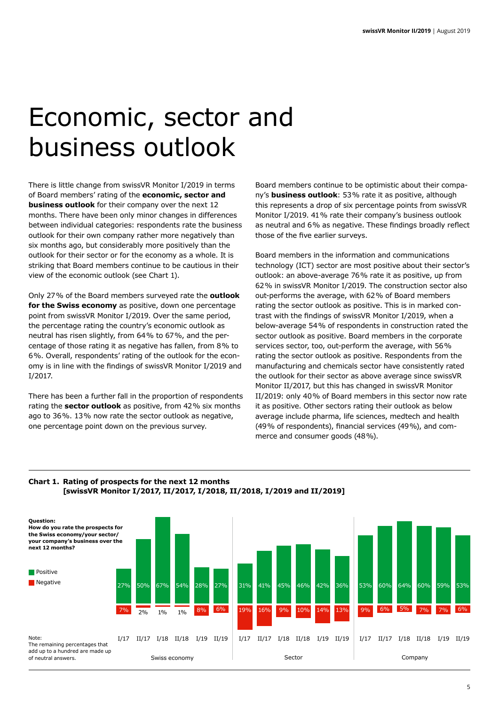## Economic, sector and business outlook

There is little change from swissVR Monitor I/2019 in terms of Board members' rating of the **economic, sector and business outlook** for their company over the next 12 months. There have been only minor changes in differences between individual categories: respondents rate the business outlook for their own company rather more negatively than six months ago, but considerably more positively than the outlook for their sector or for the economy as a whole. It is striking that Board members continue to be cautious in their view of the economic outlook (see Chart 1).

Only 27% of the Board members surveyed rate the **outlook for the Swiss economy** as positive, down one percentage point from swissVR Monitor I/2019. Over the same period, the percentage rating the country's economic outlook as neutral has risen slightly, from 64% to 67%, and the percentage of those rating it as negative has fallen, from 8% to 6%. Overall, respondents' rating of the outlook for the economy is in line with the findings of swissVR Monitor I/2019 and I/2017.

There has been a further fall in the proportion of respondents rating the **sector outlook** as positive, from 42% six months ago to 36%. 13% now rate the sector outlook as negative, one percentage point down on the previous survey.

Board members continue to be optimistic about their company's **business outlook**: 53% rate it as positive, although this represents a drop of six percentage points from swissVR Monitor I/2019. 41% rate their company's business outlook as neutral and 6% as negative. These findings broadly reflect those of the five earlier surveys.

Board members in the information and communications technology (ICT) sector are most positive about their sector's outlook: an above-average 76% rate it as positive, up from 62% in swissVR Monitor I/2019. The construction sector also out-performs the average, with 62% of Board members rating the sector outlook as positive. This is in marked contrast with the findings of swissVR Monitor I/2019, when a below-average 54% of respondents in construction rated the sector outlook as positive. Board members in the corporate services sector, too, out-perform the average, with 56% rating the sector outlook as positive. Respondents from the manufacturing and chemicals sector have consistently rated the outlook for their sector as above average since swissVR Monitor II/2017, but this has changed in swissVR Monitor II/2019: only 40% of Board members in this sector now rate it as positive. Other sectors rating their outlook as below average include pharma, life sciences, medtech and health (49% of respondents), financial services (49%), and commerce and consumer goods (48%).



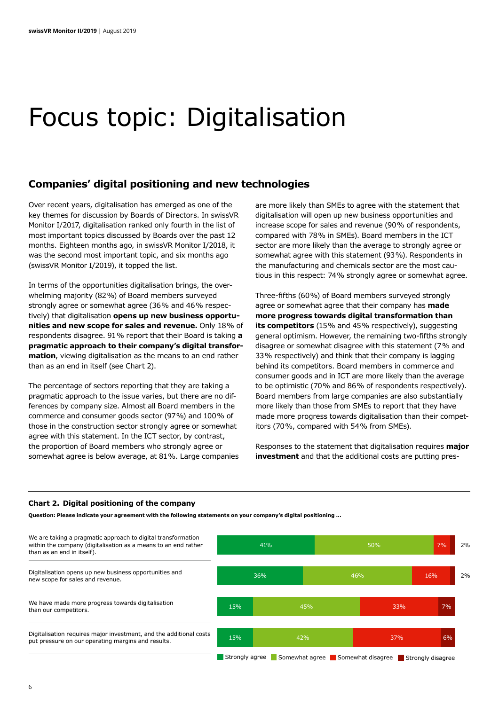## Focus topic: Digitalisation

### **Companies' digital positioning and new technologies**

Over recent years, digitalisation has emerged as one of the key themes for discussion by Boards of Directors. In swissVR Monitor I/2017, digitalisation ranked only fourth in the list of most important topics discussed by Boards over the past 12 months. Eighteen months ago, in swissVR Monitor I/2018, it was the second most important topic, and six months ago (swissVR Monitor I/2019), it topped the list.

In terms of the opportunities digitalisation brings, the overwhelming majority (82%) of Board members surveyed strongly agree or somewhat agree (36% and 46% respectively) that digitalisation **opens up new business opportunities and new scope for sales and revenue.** Only 18% of respondents disagree. 91% report that their Board is taking **a pragmatic approach to their company's digital transformation**, viewing digitalisation as the means to an end rather than as an end in itself (see Chart 2).

The percentage of sectors reporting that they are taking a pragmatic approach to the issue varies, but there are no differences by company size. Almost all Board members in the commerce and consumer goods sector (97%) and 100% of those in the construction sector strongly agree or somewhat agree with this statement. In the ICT sector, by contrast, the proportion of Board members who strongly agree or somewhat agree is below average, at 81%. Large companies are more likely than SMEs to agree with the statement that digitalisation will open up new business opportunities and increase scope for sales and revenue (90% of respondents, compared with 78% in SMEs). Board members in the ICT sector are more likely than the average to strongly agree or somewhat agree with this statement (93%). Respondents in the manufacturing and chemicals sector are the most cautious in this respect: 74% strongly agree or somewhat agree.

Three-fifths (60%) of Board members surveyed strongly agree or somewhat agree that their company has **made more progress towards digital transformation than its competitors** (15% and 45% respectively), suggesting general optimism. However, the remaining two-fifths strongly disagree or somewhat disagree with this statement (7% and 33% respectively) and think that their company is lagging behind its competitors. Board members in commerce and consumer goods and in ICT are more likely than the average to be optimistic (70% and 86% of respondents respectively). Board members from large companies are also substantially more likely than those from SMEs to report that they have made more progress towards digitalisation than their competitors (70%, compared with 54% from SMEs).

Responses to the statement that digitalisation requires **major investment** and that the additional costs are putting pres-

#### **Chart 2. Digital positioning of the company**

**Question: Please indicate your agreement with the following statements on your company's digital positioning …**

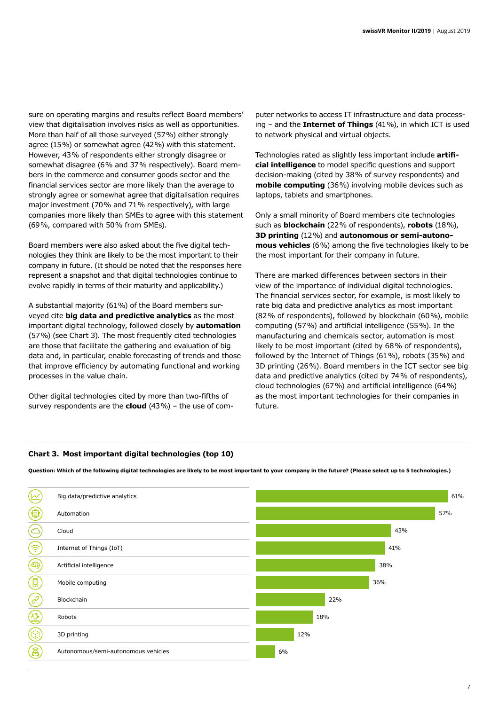sure on operating margins and results reflect Board members' view that digitalisation involves risks as well as opportunities. More than half of all those surveyed (57%) either strongly agree (15%) or somewhat agree (42%) with this statement. However, 43% of respondents either strongly disagree or somewhat disagree (6% and 37% respectively). Board members in the commerce and consumer goods sector and the financial services sector are more likely than the average to strongly agree or somewhat agree that digitalisation requires major investment (70% and 71% respectively), with large companies more likely than SMEs to agree with this statement (69%, compared with 50% from SMEs).

Board members were also asked about the five digital technologies they think are likely to be the most important to their company in future. (It should be noted that the responses here represent a snapshot and that digital technologies continue to evolve rapidly in terms of their maturity and applicability.)

A substantial majority (61%) of the Board members surveyed cite **big data and predictive analytics** as the most important digital technology, followed closely by **automation** (57%) (see Chart 3). The most frequently cited technologies are those that facilitate the gathering and evaluation of big data and, in particular, enable forecasting of trends and those that improve efficiency by automating functional and working processes in the value chain.

Other digital technologies cited by more than two-fifths of survey respondents are the **cloud** (43%) – the use of com-

puter networks to access IT infrastructure and data processing – and the **Internet of Things** (41%), in which ICT is used to network physical and virtual objects.

Technologies rated as slightly less important include **artificial intelligence** to model specific questions and support decision-making (cited by 38% of survey respondents) and **mobile computing** (36%) involving mobile devices such as laptops, tablets and smartphones.

Only a small minority of Board members cite technologies such as **blockchain** (22% of respondents), **robots** (18%), **3D printing** (12%) and **autonomous or semi-autonomous vehicles** (6%) among the five technologies likely to be the most important for their company in future.

There are marked differences between sectors in their view of the importance of individual digital technologies. The financial services sector, for example, is most likely to rate big data and predictive analytics as most important (82% of respondents), followed by blockchain (60%), mobile computing (57%) and artificial intelligence (55%). In the manufacturing and chemicals sector, automation is most likely to be most important (cited by 68% of respondents), followed by the Internet of Things (61%), robots (35%) and 3D printing (26%). Board members in the ICT sector see big data and predictive analytics (cited by 74% of respondents), cloud technologies (67%) and artificial intelligence (64%) as the most important technologies for their companies in future.

#### **Chart 3. Most important digital technologies (top 10)**

**Question: Which of the following digital technologies are likely to be most important to your company in the future? (Please select up to 5 technologies.)** 

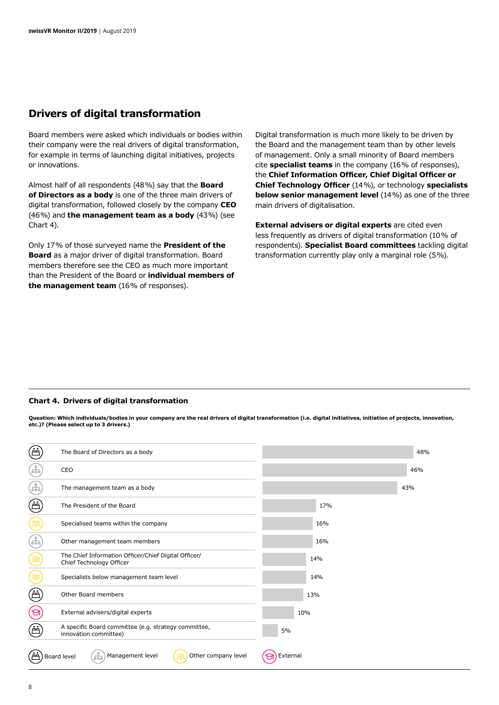### **Drivers of digital transformation**

Board members were asked which individuals or bodies within their company were the real drivers of digital transformation, for example in terms of launching digital initiatives, projects or innovations.

Almost half of all respondents (48%) say that the **Board of Directors as a body** is one of the three main drivers of digital transformation, followed closely by the company **CEO** (46%) and **the management team as a body** (43%) (see Chart 4).

Only 17% of those surveyed name the **President of the Board** as a major driver of digital transformation. Board members therefore see the CEO as much more important than the President of the Board or **individual members of the management team** (16% of responses).

Digital transformation is much more likely to be driven by the Board and the management team than by other levels of management. Only a small minority of Board members cite **specialist teams** in the company (16% of responses), the **Chief Information Officer, Chief Digital Officer or Chief Technology Officer** (14%), or technology **specialists below senior management level** (14%) as one of the three main drivers of digitalisation.

**External advisers or digital experts** are cited even less frequently as drivers of digital transformation (10% of respondents). **Specialist Board committees** tackling digital transformation currently play only a marginal role (5%).

#### **Chart 4. Drivers of digital transformation**

**Question: Which individuals/bodies in your company are the real drivers of digital transformation (i.e. digital initiatives, initiation of projects, innovation, etc.)? (Please select up to 3 drivers.)**

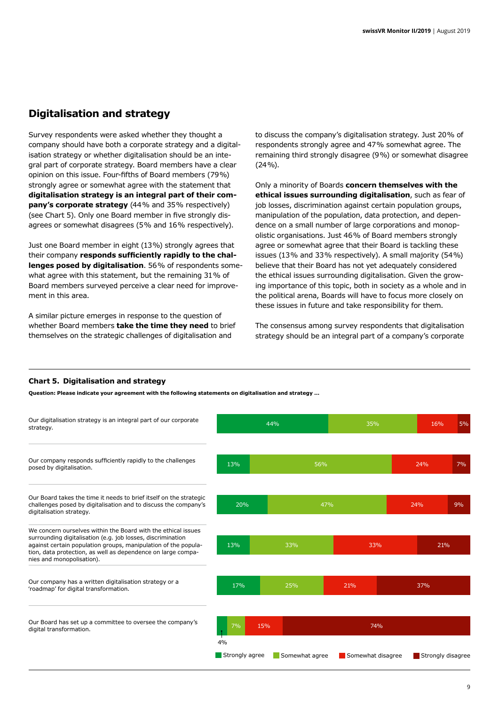## **Digitalisation and strategy**

Survey respondents were asked whether they thought a company should have both a corporate strategy and a digitalisation strategy or whether digitalisation should be an integral part of corporate strategy. Board members have a clear opinion on this issue. Four-fifths of Board members (79%) strongly agree or somewhat agree with the statement that **digitalisation strategy is an integral part of their company's corporate strategy** (44% and 35% respectively) (see Chart 5). Only one Board member in five strongly disagrees or somewhat disagrees (5% and 16% respectively).

Just one Board member in eight (13%) strongly agrees that their company **responds sufficiently rapidly to the challenges posed by digitalisation**. 56% of respondents somewhat agree with this statement, but the remaining 31% of Board members surveyed perceive a clear need for improvement in this area.

A similar picture emerges in response to the question of whether Board members **take the time they need** to brief themselves on the strategic challenges of digitalisation and

to discuss the company's digitalisation strategy. Just 20% of respondents strongly agree and 47% somewhat agree. The remaining third strongly disagree (9%) or somewhat disagree (24%).

Only a minority of Boards **concern themselves with the ethical issues surrounding digitalisation**, such as fear of job losses, discrimination against certain population groups, manipulation of the population, data protection, and dependence on a small number of large corporations and monopolistic organisations. Just 46% of Board members strongly agree or somewhat agree that their Board is tackling these issues (13% and 33% respectively). A small majority (54%) believe that their Board has not yet adequately considered the ethical issues surrounding digitalisation. Given the growing importance of this topic, both in society as a whole and in the political arena, Boards will have to focus more closely on these issues in future and take responsibility for them.

The consensus among survey respondents that digitalisation strategy should be an integral part of a company's corporate

#### **Chart 5. Digitalisation and strategy**

**Question: Please indicate your agreement with the following statements on digitalisation and strategy …**

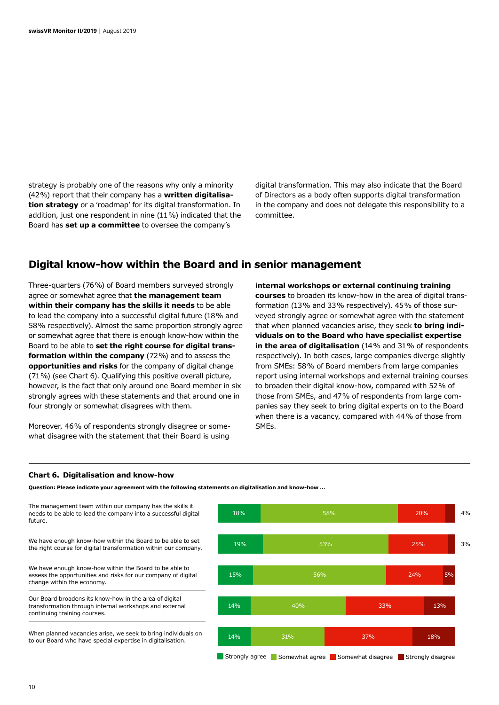strategy is probably one of the reasons why only a minority (42%) report that their company has a **written digitalisation strategy** or a 'roadmap' for its digital transformation. In addition, just one respondent in nine (11%) indicated that the Board has **set up a committee** to oversee the company's

digital transformation. This may also indicate that the Board of Directors as a body often supports digital transformation in the company and does not delegate this responsibility to a committee.

### **Digital know-how within the Board and in senior management**

Three-quarters (76%) of Board members surveyed strongly agree or somewhat agree that **the management team within their company has the skills it needs** to be able to lead the company into a successful digital future (18% and 58% respectively). Almost the same proportion strongly agree or somewhat agree that there is enough know-how within the Board to be able to **set the right course for digital transformation within the company** (72%) and to assess the **opportunities and risks** for the company of digital change (71%) (see Chart 6). Qualifying this positive overall picture, however, is the fact that only around one Board member in six strongly agrees with these statements and that around one in four strongly or somewhat disagrees with them.

Moreover, 46% of respondents strongly disagree or somewhat disagree with the statement that their Board is using

**internal workshops or external continuing training courses** to broaden its know-how in the area of digital transformation (13% and 33% respectively). 45% of those surveyed strongly agree or somewhat agree with the statement that when planned vacancies arise, they seek **to bring individuals on to the Board who have specialist expertise in the area of digitalisation** (14% and 31% of respondents respectively). In both cases, large companies diverge slightly from SMEs: 58% of Board members from large companies report using internal workshops and external training courses to broaden their digital know-how, compared with 52% of those from SMEs, and 47% of respondents from large companies say they seek to bring digital experts on to the Board when there is a vacancy, compared with 44% of those from SMEs.

#### **Chart 6. Digitalisation and know-how**

**Question: Please indicate your agreement with the following statements on digitalisation and know-how …**

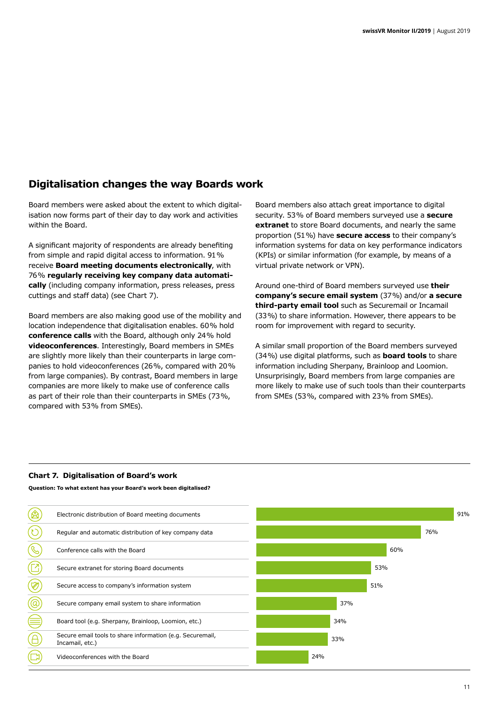## **Digitalisation changes the way Boards work**

Board members were asked about the extent to which digitalisation now forms part of their day to day work and activities within the Board.

A significant majority of respondents are already benefiting from simple and rapid digital access to information. 91% receive **Board meeting documents electronically**, with 76% **regularly receiving key company data automatically** (including company information, press releases, press cuttings and staff data) (see Chart 7).

Board members are also making good use of the mobility and location independence that digitalisation enables. 60% hold **conference calls** with the Board, although only 24% hold **videoconferences**. Interestingly, Board members in SMEs are slightly more likely than their counterparts in large companies to hold videoconferences (26%, compared with 20% from large companies). By contrast, Board members in large companies are more likely to make use of conference calls as part of their role than their counterparts in SMEs (73%, compared with 53% from SMEs).

Board members also attach great importance to digital security. 53% of Board members surveyed use a **secure extranet** to store Board documents, and nearly the same proportion (51%) have **secure access** to their company's information systems for data on key performance indicators (KPIs) or similar information (for example, by means of a virtual private network or VPN).

Around one-third of Board members surveyed use **their company's secure email system** (37%) and/or **a secure third-party email tool** such as Securemail or Incamail (33%) to share information. However, there appears to be room for improvement with regard to security.

A similar small proportion of the Board members surveyed (34%) use digital platforms, such as **board tools** to share information including Sherpany, Brainloop and Loomion. Unsurprisingly, Board members from large companies are more likely to make use of such tools than their counterparts from SMEs (53%, compared with 23% from SMEs).

#### **Chart 7. Digitalisation of Board's work**

**Question: To what extent has your Board's work been digitalised?**

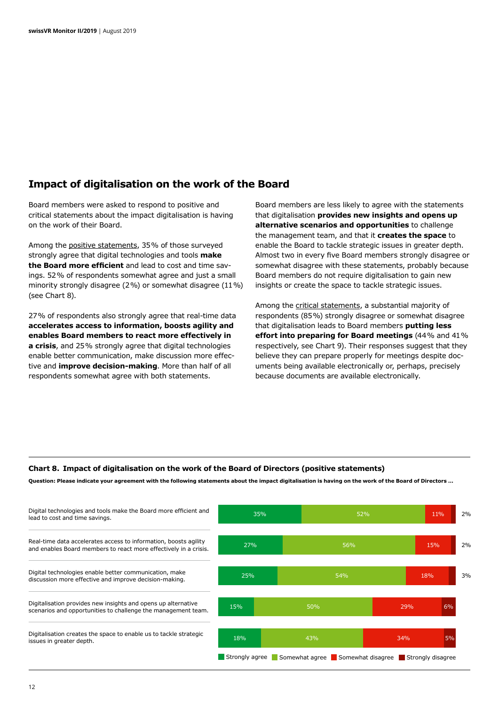### **Impact of digitalisation on the work of the Board**

Board members were asked to respond to positive and critical statements about the impact digitalisation is having on the work of their Board.

Among the positive statements, 35% of those surveyed strongly agree that digital technologies and tools **make the Board more efficient** and lead to cost and time savings. 52% of respondents somewhat agree and just a small minority strongly disagree (2%) or somewhat disagree (11%) (see Chart 8).

27% of respondents also strongly agree that real-time data **accelerates access to information, boosts agility and enables Board members to react more effectively in a crisis**, and 25% strongly agree that digital technologies enable better communication, make discussion more effective and **improve decision-making**. More than half of all respondents somewhat agree with both statements.

Board members are less likely to agree with the statements that digitalisation **provides new insights and opens up alternative scenarios and opportunities** to challenge the management team, and that it **creates the space** to enable the Board to tackle strategic issues in greater depth. Almost two in every five Board members strongly disagree or somewhat disagree with these statements, probably because Board members do not require digitalisation to gain new insights or create the space to tackle strategic issues.

Among the critical statements, a substantial majority of respondents (85%) strongly disagree or somewhat disagree that digitalisation leads to Board members **putting less effort into preparing for Board meetings** (44% and 41% respectively, see Chart 9). Their responses suggest that they believe they can prepare properly for meetings despite documents being available electronically or, perhaps, precisely because documents are available electronically.

#### **Chart 8. Impact of digitalisation on the work of the Board of Directors (positive statements)**

**Question: Please indicate your agreement with the following statements about the impact digitalisation is having on the work of the Board of Directors …**

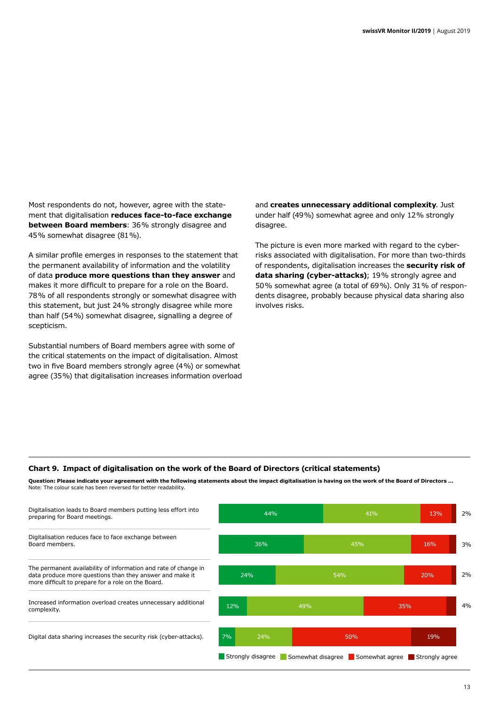Most respondents do not, however, agree with the statement that digitalisation **reduces face-to-face exchange between Board members**: 36% strongly disagree and 45% somewhat disagree (81%).

A similar profile emerges in responses to the statement that the permanent availability of information and the volatility of data **produce more questions than they answer** and makes it more difficult to prepare for a role on the Board. 78% of all respondents strongly or somewhat disagree with this statement, but just 24% strongly disagree while more than half (54%) somewhat disagree, signalling a degree of scepticism.

Substantial numbers of Board members agree with some of the critical statements on the impact of digitalisation. Almost two in five Board members strongly agree (4%) or somewhat agree (35%) that digitalisation increases information overload and **creates unnecessary additional complexity**. Just under half (49%) somewhat agree and only 12% strongly disagree.

The picture is even more marked with regard to the cyberrisks associated with digitalisation. For more than two-thirds of respondents, digitalisation increases the **security risk of data sharing (cyber-attacks)**; 19% strongly agree and 50% somewhat agree (a total of 69%). Only 31% of respondents disagree, probably because physical data sharing also involves risks.

#### **Chart 9. Impact of digitalisation on the work of the Board of Directors (critical statements)**

**Question: Please indicate your agreement with the following statements about the impact digitalisation is having on the work of the Board of Directors …** Note: The colour scale has been reversed for better readability.

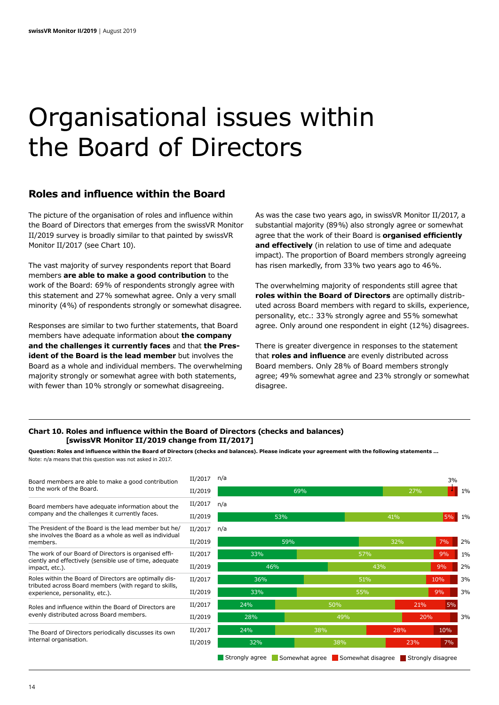## Organisational issues within the Board of Directors

### **Roles and influence within the Board**

The picture of the organisation of roles and influence within the Board of Directors that emerges from the swissVR Monitor II/2019 survey is broadly similar to that painted by swissVR Monitor II/2017 (see Chart 10).

The vast majority of survey respondents report that Board members **are able to make a good contribution** to the work of the Board: 69% of respondents strongly agree with this statement and 27% somewhat agree. Only a very small minority (4%) of respondents strongly or somewhat disagree.

Responses are similar to two further statements, that Board members have adequate information about **the company and the challenges it currently faces** and that **the President of the Board is the lead member** but involves the Board as a whole and individual members. The overwhelming majority strongly or somewhat agree with both statements, with fewer than 10% strongly or somewhat disagreeing.

As was the case two years ago, in swissVR Monitor II/2017, a substantial majority (89%) also strongly agree or somewhat agree that the work of their Board is **organised efficiently and effectively** (in relation to use of time and adequate impact). The proportion of Board members strongly agreeing has risen markedly, from 33% two years ago to 46%.

The overwhelming majority of respondents still agree that **roles within the Board of Directors** are optimally distributed across Board members with regard to skills, experience, personality, etc.: 33% strongly agree and 55% somewhat agree. Only around one respondent in eight (12%) disagrees.

There is greater divergence in responses to the statement that **roles and influence** are evenly distributed across Board members. Only 28% of Board members strongly agree; 49% somewhat agree and 23% strongly or somewhat disagree.

#### **Chart 10. Roles and influence within the Board of Directors (checks and balances) [swissVR Monitor II/2019 change from II/2017]**

**Question: Roles and influence within the Board of Directors (checks and balances). Please indicate your agreement with the following statements …**  Note: n/a means that this question was not asked in 2017.

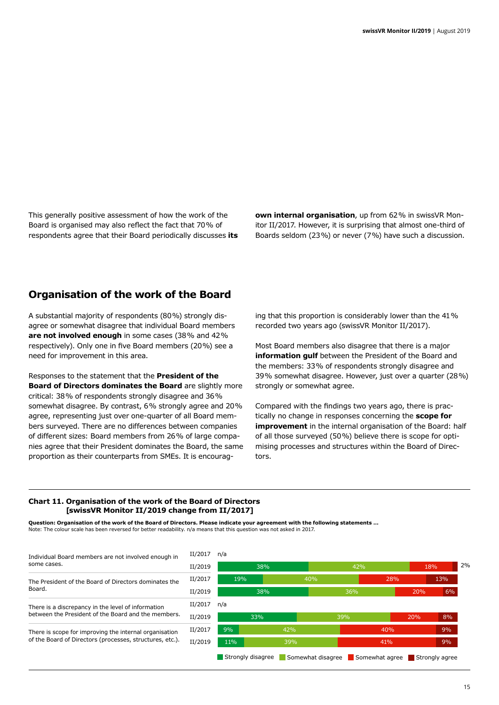This generally positive assessment of how the work of the Board is organised may also reflect the fact that 70% of respondents agree that their Board periodically discusses **its**  **own internal organisation**, up from 62% in swissVR Monitor II/2017. However, it is surprising that almost one-third of Boards seldom (23%) or never (7%) have such a discussion.

### **Organisation of the work of the Board**

A substantial majority of respondents (80%) strongly disagree or somewhat disagree that individual Board members **are not involved enough** in some cases (38% and 42% respectively). Only one in five Board members (20%) see a need for improvement in this area.

Responses to the statement that the **President of the Board of Directors dominates the Board** are slightly more critical: 38% of respondents strongly disagree and 36% somewhat disagree. By contrast, 6% strongly agree and 20% agree, representing just over one-quarter of all Board members surveyed. There are no differences between companies of different sizes: Board members from 26% of large companies agree that their President dominates the Board, the same proportion as their counterparts from SMEs. It is encouraging that this proportion is considerably lower than the 41% recorded two years ago (swissVR Monitor II/2017).

Most Board members also disagree that there is a major **information gulf** between the President of the Board and the members: 33% of respondents strongly disagree and 39% somewhat disagree. However, just over a quarter (28%) strongly or somewhat agree.

Compared with the findings two years ago, there is practically no change in responses concerning the **scope for improvement** in the internal organisation of the Board: half of all those surveyed (50%) believe there is scope for optimising processes and structures within the Board of Directors.

#### **Chart 11. Organisation of the work of the Board of Directors [swissVR Monitor II/2019 change from II/2017]**

**Question: Organisation of the work of the Board of Directors. Please indicate your agreement with the following statements …**  Note: The colour scale has been reversed for better readability. n/a means that this question was not asked in 2017.

| Individual Board members are not involved enough in      | II/2017 |
|----------------------------------------------------------|---------|
| some cases.                                              | II/2019 |
| The President of the Board of Directors dominates the    | II/2017 |
| Board.                                                   | II/2019 |
| There is a discrepancy in the level of information       | II/2017 |
| between the President of the Board and the members.      | II/2019 |
| There is scope for improving the internal organisation   | II/2017 |
| of the Board of Directors (processes, structures, etc.). | II/2019 |
|                                                          |         |

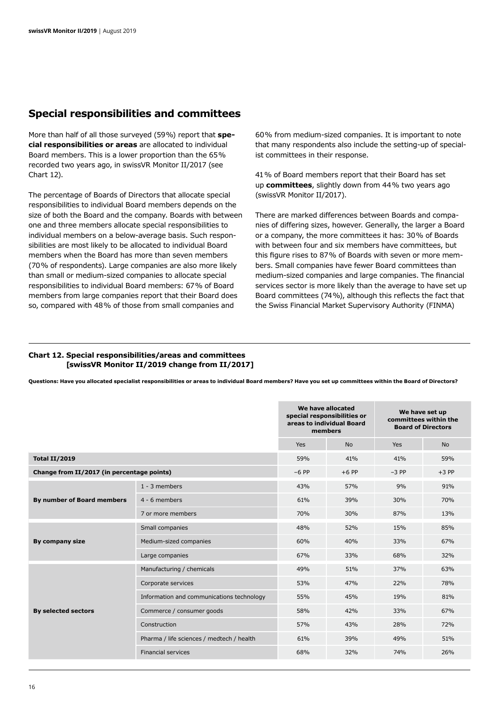### **Special responsibilities and committees**

More than half of all those surveyed (59%) report that **special responsibilities or areas** are allocated to individual Board members. This is a lower proportion than the 65% recorded two years ago, in swissVR Monitor II/2017 (see Chart 12).

The percentage of Boards of Directors that allocate special responsibilities to individual Board members depends on the size of both the Board and the company. Boards with between one and three members allocate special responsibilities to individual members on a below-average basis. Such responsibilities are most likely to be allocated to individual Board members when the Board has more than seven members (70% of respondents). Large companies are also more likely than small or medium-sized companies to allocate special responsibilities to individual Board members: 67% of Board members from large companies report that their Board does so, compared with 48% of those from small companies and

60% from medium-sized companies. It is important to note that many respondents also include the setting-up of specialist committees in their response.

41% of Board members report that their Board has set up **committees**, slightly down from 44% two years ago (swissVR Monitor II/2017).

There are marked differences between Boards and companies of differing sizes, however. Generally, the larger a Board or a company, the more committees it has: 30% of Boards with between four and six members have committees, but this figure rises to 87% of Boards with seven or more members. Small companies have fewer Board committees than medium-sized companies and large companies. The financial services sector is more likely than the average to have set up Board committees (74%), although this reflects the fact that the Swiss Financial Market Supervisory Authority (FINMA)

#### **Chart 12. Special responsibilities/areas and committees [swissVR Monitor II/2019 change from II/2017]**

**Questions: Have you allocated specialist responsibilities or areas to individual Board members? Have you set up committees within the Board of Directors?** 

|                                            |                                           |         | We have allocated<br>special responsibilities or<br>areas to individual Board<br>members | We have set up<br>committees within the<br><b>Board of Directors</b> |           |
|--------------------------------------------|-------------------------------------------|---------|------------------------------------------------------------------------------------------|----------------------------------------------------------------------|-----------|
|                                            |                                           | Yes     | <b>No</b>                                                                                | Yes                                                                  | <b>No</b> |
| Total II/2019                              |                                           | 59%     | 41%                                                                                      | 41%                                                                  | 59%       |
| Change from II/2017 (in percentage points) |                                           | $-6$ PP | $+6$ PP                                                                                  | $-3$ PP                                                              | $+3$ PP   |
| By number of Board members                 | $1 - 3$ members                           | 43%     | 57%                                                                                      | 9%                                                                   | 91%       |
|                                            | 4 - 6 members                             | 61%     | 39%                                                                                      | 30%                                                                  | 70%       |
|                                            | 7 or more members                         | 70%     | 30%                                                                                      | 87%                                                                  | 13%       |
| By company size                            | Small companies                           | 48%     | 52%                                                                                      | 15%                                                                  | 85%       |
|                                            | Medium-sized companies                    | 60%     | 40%                                                                                      | 33%                                                                  | 67%       |
|                                            | Large companies                           | 67%     | 33%                                                                                      | 68%                                                                  | 32%       |
| <b>By selected sectors</b>                 | Manufacturing / chemicals                 | 49%     | 51%                                                                                      | 37%                                                                  | 63%       |
|                                            | Corporate services                        | 53%     | 47%                                                                                      | 22%                                                                  | 78%       |
|                                            | Information and communications technology | 55%     | 45%                                                                                      | 19%                                                                  | 81%       |
|                                            | Commerce / consumer goods                 | 58%     | 42%                                                                                      | 33%                                                                  | 67%       |
|                                            | Construction                              | 57%     | 43%                                                                                      | 28%                                                                  | 72%       |
|                                            | Pharma / life sciences / medtech / health | 61%     | 39%                                                                                      | 49%                                                                  | 51%       |
|                                            | <b>Financial services</b>                 | 68%     | 32%                                                                                      | 74%                                                                  | 26%       |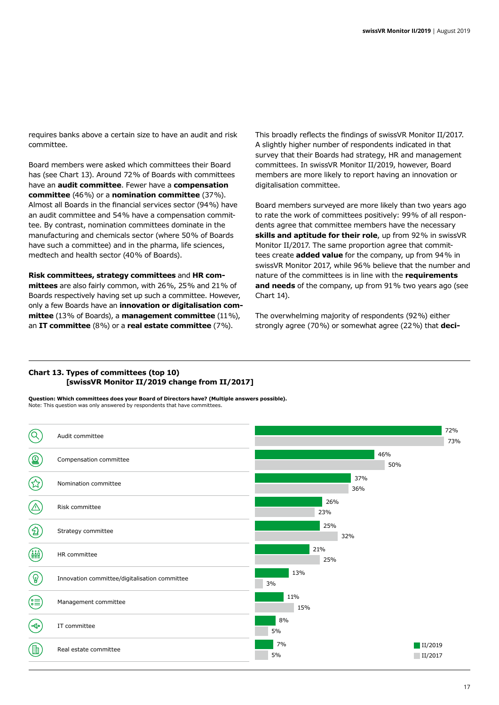requires banks above a certain size to have an audit and risk committee.

Board members were asked which committees their Board has (see Chart 13). Around 72% of Boards with committees have an **audit committee**. Fewer have a **compensation committee** (46%) or a **nomination committee** (37%). Almost all Boards in the financial services sector (94%) have an audit committee and 54% have a compensation committee. By contrast, nomination committees dominate in the manufacturing and chemicals sector (where 50% of Boards have such a committee) and in the pharma, life sciences, medtech and health sector (40% of Boards).

**Risk committees, strategy committees** and **HR committees** are also fairly common, with 26%, 25% and 21% of Boards respectively having set up such a committee. However, only a few Boards have an **innovation or digitalisation committee** (13% of Boards), a **management committee** (11%), an **IT committee** (8%) or a **real estate committee** (7%).

This broadly reflects the findings of swissVR Monitor II/2017. A slightly higher number of respondents indicated in that survey that their Boards had strategy, HR and management committees. In swissVR Monitor II/2019, however, Board members are more likely to report having an innovation or digitalisation committee.

Board members surveyed are more likely than two years ago to rate the work of committees positively: 99% of all respondents agree that committee members have the necessary **skills and aptitude for their role**, up from 92% in swissVR Monitor II/2017. The same proportion agree that committees create **added value** for the company, up from 94% in swissVR Monitor 2017, while 96% believe that the number and nature of the committees is in line with the **requirements and needs** of the company, up from 91% two years ago (see Chart 14).

The overwhelming majority of respondents (92%) either strongly agree (70%) or somewhat agree (22%) that **deci-**

#### **Chart 13. Types of committees (top 10) [swissVR Monitor II/2019 change from II/2017]**

**Question: Which committees does your Board of Directors have? (Multiple answers possible).** Note: This question was only answered by respondents that have committees.

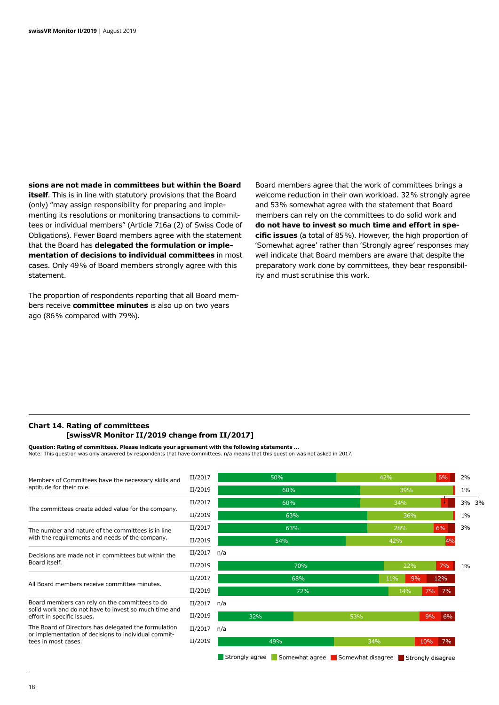**sions are not made in committees but within the Board itself**. This is in line with statutory provisions that the Board (only) "may assign responsibility for preparing and implementing its resolutions or monitoring transactions to committees or individual members" (Article 716a (2) of Swiss Code of Obligations). Fewer Board members agree with the statement that the Board has **delegated the formulation or implementation of decisions to individual committees** in most cases. Only 49% of Board members strongly agree with this statement.

The proportion of respondents reporting that all Board members receive **committee minutes** is also up on two years ago (86% compared with 79%).

Board members agree that the work of committees brings a welcome reduction in their own workload. 32% strongly agree and 53% somewhat agree with the statement that Board members can rely on the committees to do solid work and **do not have to invest so much time and effort in specific issues** (a total of 85%). However, the high proportion of 'Somewhat agree' rather than 'Strongly agree' responses may well indicate that Board members are aware that despite the preparatory work done by committees, they bear responsibility and must scrutinise this work.

#### **Chart 14. Rating of committees [swissVR Monitor II/2019 change from II/2017]**

**Question: Rating of committees. Please indicate your agreement with the following statements …**  Note: This question was only answered by respondents that have committees. n/a means that this question was not asked in 2017.

| Members of Committees have the necessary skills and<br>aptitude for their role.                                                     | II/2017 |                | 50%                                                |     | 42%       | 6%        | 2%    |    |
|-------------------------------------------------------------------------------------------------------------------------------------|---------|----------------|----------------------------------------------------|-----|-----------|-----------|-------|----|
|                                                                                                                                     | II/2019 |                | 60%                                                |     | 39%       |           | $1\%$ |    |
| The committees create added value for the company.                                                                                  | II/2017 |                | 60%                                                |     | 34%       |           | 3%    | 3% |
|                                                                                                                                     | II/2019 |                | 63%                                                |     | 36%       |           | 1%    |    |
| The number and nature of the committees is in line<br>with the requirements and needs of the company.                               | II/2017 |                | 63%                                                |     | 28%       | 6%        | 3%    |    |
|                                                                                                                                     | II/2019 |                | 54%                                                |     | 42%       | 4%        |       |    |
| Decisions are made not in committees but within the<br>Board itself.                                                                | II/2017 | n/a            |                                                    |     |           |           |       |    |
|                                                                                                                                     | II/2019 |                | 70%                                                |     | 22%       | 7%        | $1\%$ |    |
| All Board members receive committee minutes.                                                                                        | II/2017 |                | 68%                                                |     | 11%<br>9% | 12%       |       |    |
|                                                                                                                                     | II/2019 |                | 72%                                                |     | 14%       | 7%<br>7%  |       |    |
| Board members can rely on the committees to do                                                                                      | II/2017 | n/a            |                                                    |     |           |           |       |    |
| solid work and do not have to invest so much time and<br>effort in specific issues.                                                 | II/2019 | 32%            |                                                    | 53% |           | 6%<br>9%  |       |    |
| The Board of Directors has delegated the formulation<br>or implementation of decisions to individual commit-<br>tees in most cases. | II/2017 | n/a            |                                                    |     |           |           |       |    |
|                                                                                                                                     | II/2019 |                | 49%                                                | 34% |           | 10%<br>7% |       |    |
|                                                                                                                                     |         | Strongly agree | Somewhat agree Somewhat disagree Strongly disagree |     |           |           |       |    |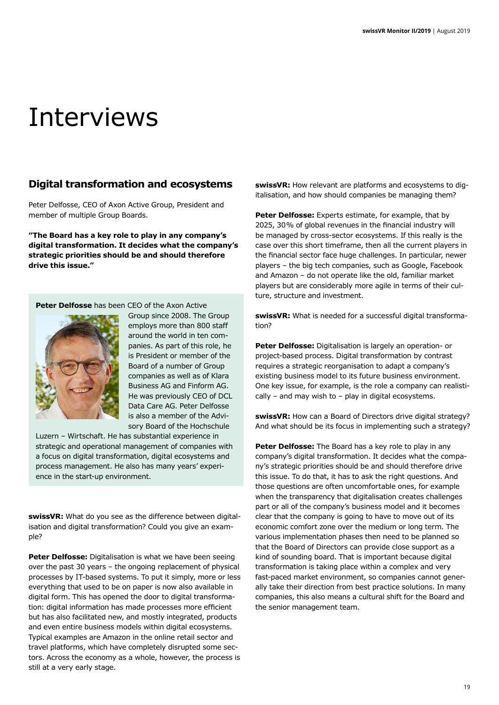## Interviews

## **Digital transformation and ecosystems**

Peter Delfosse, CEO of Axon Active Group, President and member of multiple Group Boards.

**"The Board has a key role to play in any company's digital transformation. It decides what the company's strategic priorities should be and should therefore drive this issue."**

**Peter Delfosse** has been CEO of the Axon Active



Group since 2008. The Group employs more than 800 staff around the world in ten companies. As part of this role, he is President or member of the Board of a number of Group companies as well as of Klara Business AG and Finform AG. He was previously CEO of DCL Data Care AG. Peter Delfosse is also a member of the Advisory Board of the Hochschule

Luzern – Wirtschaft. He has substantial experience in strategic and operational management of companies with a focus on digital transformation, digital ecosystems and process management. He also has many years' experience in the start-up environment.

**swissVR:** What do you see as the difference between digitalisation and digital transformation? Could you give an example?

**Peter Delfosse:** Digitalisation is what we have been seeing over the past 30 years – the ongoing replacement of physical processes by IT-based systems. To put it simply, more or less everything that used to be on paper is now also available in digital form. This has opened the door to digital transformation: digital information has made processes more efficient but has also facilitated new, and mostly integrated, products and even entire business models within digital ecosystems. Typical examples are Amazon in the online retail sector and travel platforms, which have completely disrupted some sectors. Across the economy as a whole, however, the process is still at a very early stage.

**swissVR:** How relevant are platforms and ecosystems to digitalisation, and how should companies be managing them?

Peter Delfosse: Experts estimate, for example, that by 2025, 30% of global revenues in the financial industry will be managed by cross-sector ecosystems. If this really is the case over this short timeframe, then all the current players in the financial sector face huge challenges. In particular, newer players – the big tech companies, such as Google, Facebook and Amazon – do not operate like the old, familiar market players but are considerably more agile in terms of their culture, structure and investment.

**swissVR:** What is needed for a successful digital transformation?

**Peter Delfosse:** Digitalisation is largely an operation- or project-based process. Digital transformation by contrast requires a strategic reorganisation to adapt a company's existing business model to its future business environment. One key issue, for example, is the role a company can realistically – and may wish to – play in digital ecosystems.

**swissVR:** How can a Board of Directors drive digital strategy? And what should be its focus in implementing such a strategy?

**Peter Delfosse:** The Board has a key role to play in any company's digital transformation. It decides what the company's strategic priorities should be and should therefore drive this issue. To do that, it has to ask the right questions. And those questions are often uncomfortable ones, for example when the transparency that digitalisation creates challenges part or all of the company's business model and it becomes clear that the company is going to have to move out of its economic comfort zone over the medium or long term. The various implementation phases then need to be planned so that the Board of Directors can provide close support as a kind of sounding board. That is important because digital transformation is taking place within a complex and very fast-paced market environment, so companies cannot generally take their direction from best practice solutions. In many companies, this also means a cultural shift for the Board and the senior management team.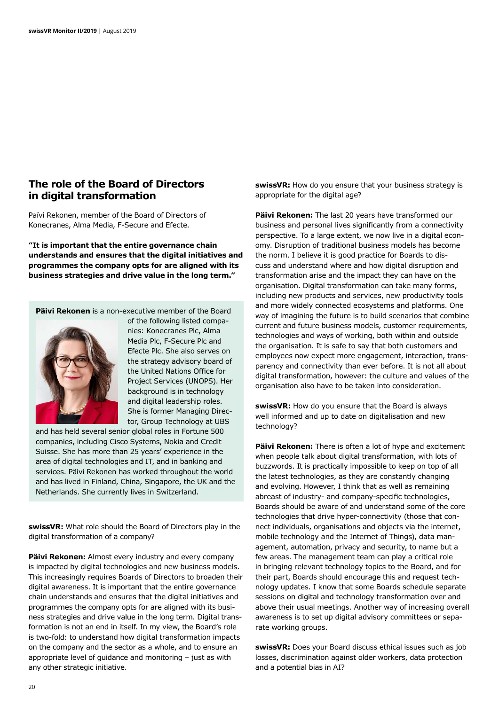### **The role of the Board of Directors in digital transformation**

Païvi Rekonen, member of the Board of Directors of Konecranes, Alma Media, F-Secure and Efecte.

**"It is important that the entire governance chain understands and ensures that the digital initiatives and programmes the company opts for are aligned with its business strategies and drive value in the long term."**

**Päivi Rekonen** is a non-executive member of the Board



of the following listed companies: Konecranes Plc, Alma Media Plc, F-Secure Plc and Efecte Plc. She also serves on the strategy advisory board of the United Nations Office for Project Services (UNOPS). Her background is in technology and digital leadership roles. She is former Managing Director, Group Technology at UBS

and has held several senior global roles in Fortune 500 companies, including Cisco Systems, Nokia and Credit Suisse. She has more than 25 years' experience in the area of digital technologies and IT, and in banking and services. Päivi Rekonen has worked throughout the world and has lived in Finland, China, Singapore, the UK and the Netherlands. She currently lives in Switzerland.

**swissVR:** What role should the Board of Directors play in the digital transformation of a company?

**Päivi Rekonen:** Almost every industry and every company is impacted by digital technologies and new business models. This increasingly requires Boards of Directors to broaden their digital awareness. It is important that the entire governance chain understands and ensures that the digital initiatives and programmes the company opts for are aligned with its business strategies and drive value in the long term. Digital transformation is not an end in itself. In my view, the Board's role is two-fold: to understand how digital transformation impacts on the company and the sector as a whole, and to ensure an appropriate level of guidance and monitoring – just as with any other strategic initiative.

**swissVR:** How do you ensure that your business strategy is appropriate for the digital age?

**Päivi Rekonen:** The last 20 years have transformed our business and personal lives significantly from a connectivity perspective. To a large extent, we now live in a digital economy. Disruption of traditional business models has become the norm. I believe it is good practice for Boards to discuss and understand where and how digital disruption and transformation arise and the impact they can have on the organisation. Digital transformation can take many forms, including new products and services, new productivity tools and more widely connected ecosystems and platforms. One way of imagining the future is to build scenarios that combine current and future business models, customer requirements, technologies and ways of working, both within and outside the organisation. It is safe to say that both customers and employees now expect more engagement, interaction, transparency and connectivity than ever before. It is not all about digital transformation, however: the culture and values of the organisation also have to be taken into consideration.

**swissVR:** How do you ensure that the Board is always well informed and up to date on digitalisation and new technology?

**Päivi Rekonen:** There is often a lot of hype and excitement when people talk about digital transformation, with lots of buzzwords. It is practically impossible to keep on top of all the latest technologies, as they are constantly changing and evolving. However, I think that as well as remaining abreast of industry- and company-specific technologies, Boards should be aware of and understand some of the core technologies that drive hyper-connectivity (those that connect individuals, organisations and objects via the internet, mobile technology and the Internet of Things), data management, automation, privacy and security, to name but a few areas. The management team can play a critical role in bringing relevant technology topics to the Board, and for their part, Boards should encourage this and request technology updates. I know that some Boards schedule separate sessions on digital and technology transformation over and above their usual meetings. Another way of increasing overall awareness is to set up digital advisory committees or separate working groups.

**swissVR:** Does your Board discuss ethical issues such as job losses, discrimination against older workers, data protection and a potential bias in AI?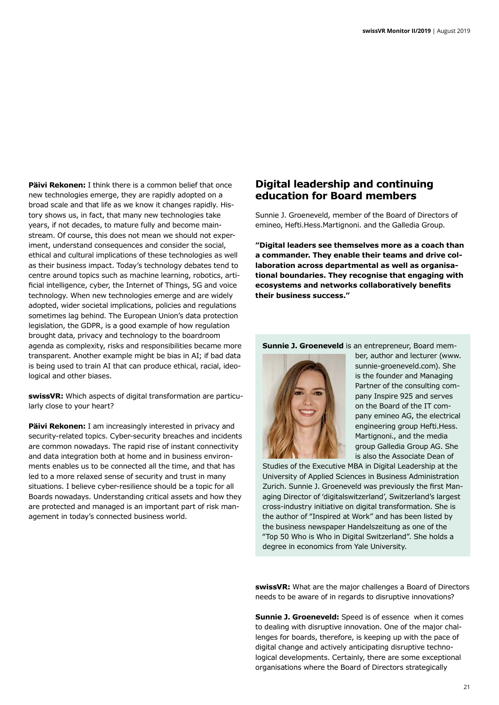**Päivi Rekonen:** I think there is a common belief that once new technologies emerge, they are rapidly adopted on a broad scale and that life as we know it changes rapidly. History shows us, in fact, that many new technologies take years, if not decades, to mature fully and become mainstream. Of course, this does not mean we should not experiment, understand consequences and consider the social, ethical and cultural implications of these technologies as well as their business impact. Today's technology debates tend to centre around topics such as machine learning, robotics, artificial intelligence, cyber, the Internet of Things, 5G and voice technology. When new technologies emerge and are widely adopted, wider societal implications, policies and regulations sometimes lag behind. The European Union's data protection legislation, the GDPR, is a good example of how regulation brought data, privacy and technology to the boardroom agenda as complexity, risks and responsibilities became more transparent. Another example might be bias in AI; if bad data is being used to train AI that can produce ethical, racial, ideological and other biases.

**swissVR:** Which aspects of digital transformation are particularly close to your heart?

**Päivi Rekonen:** I am increasingly interested in privacy and security-related topics. Cyber-security breaches and incidents are common nowadays. The rapid rise of instant connectivity and data integration both at home and in business environments enables us to be connected all the time, and that has led to a more relaxed sense of security and trust in many situations. I believe cyber-resilience should be a topic for all Boards nowadays. Understanding critical assets and how they are protected and managed is an important part of risk management in today's connected business world.

## **Digital leadership and continuing education for Board members**

Sunnie J. Groeneveld, member of the Board of Directors of emineo, Hefti.Hess.Martignoni. and the Galledia Group.

**"Digital leaders see themselves more as a coach than a commander. They enable their teams and drive collaboration across departmental as well as organisational boundaries. They recognise that engaging with ecosystems and networks collaboratively benefits their business success."**

**Sunnie J. Groeneveld** is an entrepreneur, Board mem-



ber, author and lecturer (www. sunnie-groeneveld.com). She is the founder and Managing Partner of the consulting company Inspire 925 and serves on the Board of the IT company emineo AG, the electrical engineering group Hefti.Hess. Martignoni., and the media group Galledia Group AG. She is also the Associate Dean of

Studies of the Executive MBA in Digital Leadership at the University of Applied Sciences in Business Administration Zurich. Sunnie J. Groeneveld was previously the first Managing Director of 'digitalswitzerland', Switzerland's largest cross-industry initiative on digital transformation. She is the author of "Inspired at Work" and has been listed by the business newspaper Handelszeitung as one of the "Top 50 Who is Who in Digital Switzerland". She holds a degree in economics from Yale University.

**swissVR:** What are the major challenges a Board of Directors needs to be aware of in regards to disruptive innovations?

**Sunnie J. Groeneveld:** Speed is of essence when it comes to dealing with disruptive innovation. One of the major challenges for boards, therefore, is keeping up with the pace of digital change and actively anticipating disruptive technological developments. Certainly, there are some exceptional organisations where the Board of Directors strategically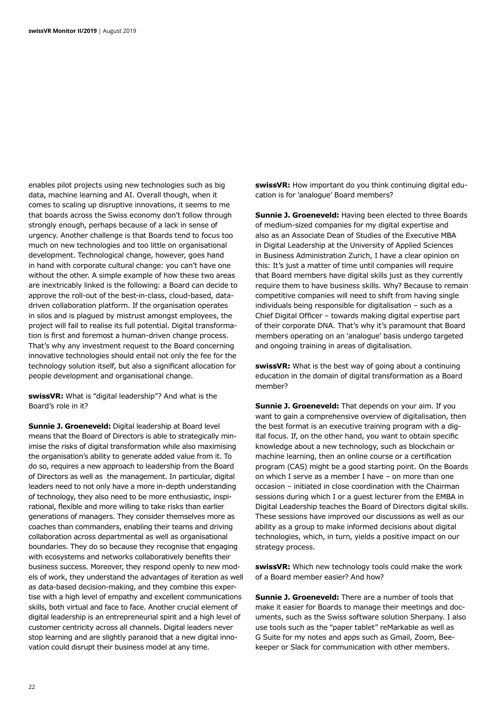enables pilot projects using new technologies such as big data, machine learning and AI. Overall though, when it comes to scaling up disruptive innovations, it seems to me that boards across the Swiss economy don't follow through strongly enough, perhaps because of a lack in sense of urgency. Another challenge is that Boards tend to focus too much on new technologies and too little on organisational development. Technological change, however, goes hand in hand with corporate cultural change: you can't have one without the other. A simple example of how these two areas are inextricably linked is the following: a Board can decide to approve the roll-out of the best-in-class, cloud-based, datadriven collaboration platform. If the organisation operates in silos and is plagued by mistrust amongst employees, the project will fail to realise its full potential. Digital transformation is first and foremost a human-driven change process. That's why any investment request to the Board concerning innovative technologies should entail not only the fee for the technology solution itself, but also a significant allocation for people development and organisational change.

**swissVR:** What is "digital leadership"? And what is the Board's role in it?

**Sunnie J. Groeneveld:** Digital leadership at Board level means that the Board of Directors is able to strategically minimise the risks of digital transformation while also maximising the organisation's ability to generate added value from it. To do so, requires a new approach to leadership from the Board of Directors as well as the management. In particular, digital leaders need to not only have a more in-depth understanding of technology, they also need to be more enthusiastic, inspirational, flexible and more willing to take risks than earlier generations of managers. They consider themselves more as coaches than commanders, enabling their teams and driving collaboration across departmental as well as organisational boundaries. They do so because they recognise that engaging with ecosystems and networks collaboratively benefits their business success. Moreover, they respond openly to new models of work, they understand the advantages of iteration as well as data-based decision-making, and they combine this expertise with a high level of empathy and excellent communications skills, both virtual and face to face. Another crucial element of digital leadership is an entrepreneurial spirit and a high level of customer centricity across all channels. Digital leaders never stop learning and are slightly paranoid that a new digital innovation could disrupt their business model at any time.

**swissVR:** How important do you think continuing digital education is for 'analogue' Board members?

**Sunnie J. Groeneveld:** Having been elected to three Boards of medium-sized companies for my digital expertise and also as an Associate Dean of Studies of the Executive MBA in Digital Leadership at the University of Applied Sciences in Business Administration Zurich, I have a clear opinion on this: It's just a matter of time until companies will require that Board members have digital skills just as they currently require them to have business skills. Why? Because to remain competitive companies will need to shift from having single individuals being responsible for digitalisation – such as a Chief Digital Officer – towards making digital expertise part of their corporate DNA. That's why it's paramount that Board members operating on an 'analogue' basis undergo targeted and ongoing training in areas of digitalisation.

**swissVR:** What is the best way of going about a continuing education in the domain of digital transformation as a Board member?

**Sunnie J. Groeneveld:** That depends on your aim. If you want to gain a comprehensive overview of digitalisation, then the best format is an executive training program with a digital focus. If, on the other hand, you want to obtain specific knowledge about a new technology, such as blockchain or machine learning, then an online course or a certification program (CAS) might be a good starting point. On the Boards on which I serve as a member I have – on more than one occasion – initiated in close coordination with the Chairman sessions during which I or a guest lecturer from the EMBA in Digital Leadership teaches the Board of Directors digital skills. These sessions have improved our discussions as well as our ability as a group to make informed decisions about digital technologies, which, in turn, yields a positive impact on our strategy process.

**swissVR:** Which new technology tools could make the work of a Board member easier? And how?

**Sunnie J. Groeneveld:** There are a number of tools that make it easier for Boards to manage their meetings and documents, such as the Swiss software solution Sherpany. I also use tools such as the "paper tablet" reMarkable as well as G Suite for my notes and apps such as Gmail, Zoom, Beekeeper or Slack for communication with other members.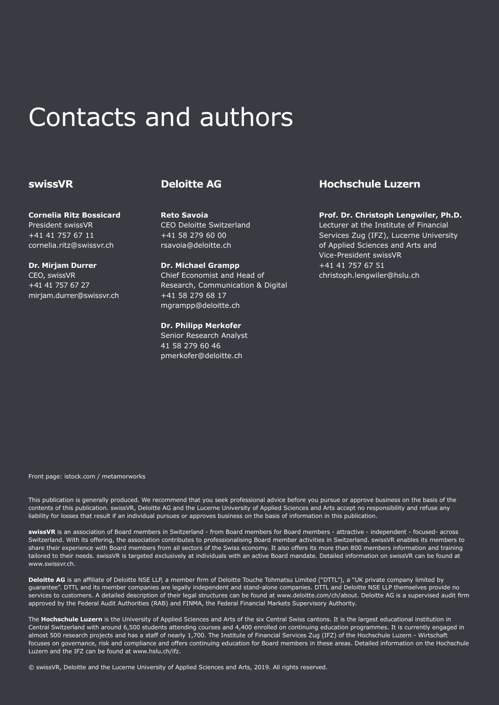## Contacts and authors

### **swissVR**

**Cornelia Ritz Bossicard** President swissVR +41 41 757 67 11 cornelia.ritz@swissvr.ch

**Dr. Mirjam Durrer** CEO, swissVR +41 41 757 67 27 mirjam.durrer@swissvr.ch

### **Deloitte AG**

**Reto Savoia** CEO Deloitte Switzerland +41 58 279 60 00 rsavoia@deloitte.ch

**Dr. Michael Grampp** Chief Economist and Head of Research, Communication & Digital +41 58 279 68 17 mgrampp@deloitte.ch

**Dr. Philipp Merkofer** Senior Research Analyst 41 58 279 60 46 pmerkofer@deloitte.ch

### **Hochschule Luzern**

**Prof. Dr. Christoph Lengwiler, Ph.D.** Lecturer at the Institute of Financial Services Zug (IFZ), Lucerne University of Applied Sciences and Arts and Vice-President swissVR +41 41 757 67 51 christoph.lengwiler@hslu.ch

Front page: istock.com / metamorworks

This publication is generally produced. We recommend that you seek professional advice before you pursue or approve business on the basis of the contents of this publication. swissVR, Deloitte AG and the Lucerne University of Applied Sciences and Arts accept no responsibility and refuse any liability for losses that result if an individual pursues or approves business on the basis of information in this publication.

**swissVR** is an association of Board members in Switzerland - from Board members for Board members - attractive - independent - focused- across Switzerland. With its offering, the association contributes to professionalising Board member activities in Switzerland. swissVR enables its members to share their experience with Board members from all sectors of the Swiss economy. It also offers its more than 800 members information and training tailored to their needs. swissVR is targeted exclusively at individuals with an active Board mandate. Detailed information on swissVR can be found at www.swissvr.ch.

**Deloitte AG** is an affiliate of Deloitte NSE LLP, a member firm of Deloitte Touche Tohmatsu Limited ("DTTL"), a "UK private company limited by guarantee". DTTL and its member companies are legally independent and stand-alone companies. DTTL and Deloitte NSE LLP themselves provide no services to customers. A detailed description of their legal structures can be found at www.deloitte.com/ch/about. Deloitte AG is a supervised audit firm approved by the Federal Audit Authorities (RAB) and FINMA, the Federal Financial Markets Supervisory Authority.

The **Hochschule Luzern** is the University of Applied Sciences and Arts of the six Central Swiss cantons. It is the largest educational institution in Central Switzerland with around 6,500 students attending courses and 4,400 enrolled on continuing education programmes. It is currently engaged in almost 500 research projects and has a staff of nearly 1,700. The Institute of Financial Services Zug (IFZ) of the Hochschule Luzern - Wirtschaft focuses on governance, risk and compliance and offers continuing education for Board members in these areas. Detailed information on the Hochschule Luzern and the IFZ can be found at www.hslu.ch/ifz.

© swissVR, Deloitte and the Lucerne University of Applied Sciences and Arts, 2019. All rights reserved.